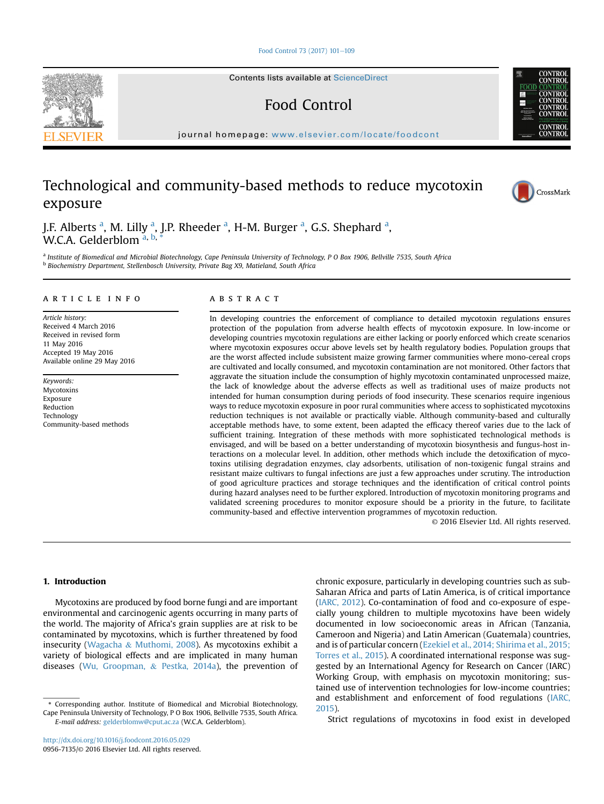#### [Food Control 73 \(2017\) 101](http://dx.doi.org/10.1016/j.foodcont.2016.05.029)-[109](http://dx.doi.org/10.1016/j.foodcont.2016.05.029)

Contents lists available at [ScienceDirect](www.sciencedirect.com/science/journal/09567135)

Food Control

journal homepage: [www.elsevier.com/locate/foodcont](http://www.elsevier.com/locate/foodcont)

# Technological and community-based methods to reduce mycotoxin exposure



a Institute of Biomedical and Microbial Biotechnology, Cape Peninsula University of Technology, P O Box 1906, Bellville 7535, South Africa **b Biochemistry Department, Stellenbosch University, Private Bag X9, Matieland, South Africa** 

# article info

Article history: Received 4 March 2016 Received in revised form 11 May 2016 Accepted 19 May 2016 Available online 29 May 2016

Keywords: Mycotoxins Exposure Reduction Technology Community-based methods

# **ABSTRACT**

In developing countries the enforcement of compliance to detailed mycotoxin regulations ensures protection of the population from adverse health effects of mycotoxin exposure. In low-income or developing countries mycotoxin regulations are either lacking or poorly enforced which create scenarios where mycotoxin exposures occur above levels set by health regulatory bodies. Population groups that are the worst affected include subsistent maize growing farmer communities where mono-cereal crops are cultivated and locally consumed, and mycotoxin contamination are not monitored. Other factors that aggravate the situation include the consumption of highly mycotoxin contaminated unprocessed maize, the lack of knowledge about the adverse effects as well as traditional uses of maize products not intended for human consumption during periods of food insecurity. These scenarios require ingenious ways to reduce mycotoxin exposure in poor rural communities where access to sophisticated mycotoxins reduction techniques is not available or practically viable. Although community-based and culturally acceptable methods have, to some extent, been adapted the efficacy thereof varies due to the lack of sufficient training. Integration of these methods with more sophisticated technological methods is envisaged, and will be based on a better understanding of mycotoxin biosynthesis and fungus-host interactions on a molecular level. In addition, other methods which include the detoxification of mycotoxins utilising degradation enzymes, clay adsorbents, utilisation of non-toxigenic fungal strains and resistant maize cultivars to fungal infections are just a few approaches under scrutiny. The introduction of good agriculture practices and storage techniques and the identification of critical control points during hazard analyses need to be further explored. Introduction of mycotoxin monitoring programs and validated screening procedures to monitor exposure should be a priority in the future, to facilitate community-based and effective intervention programmes of mycotoxin reduction.

© 2016 Elsevier Ltd. All rights reserved.

# 1. Introduction

Mycotoxins are produced by food borne fungi and are important environmental and carcinogenic agents occurring in many parts of the world. The majority of Africa's grain supplies are at risk to be contaminated by mycotoxins, which is further threatened by food insecurity [\(Wagacha](#page-8-0) & [Muthomi, 2008\)](#page-8-0). As mycotoxins exhibit a variety of biological effects and are implicated in many human diseases [\(Wu, Groopman,](#page-8-0) & [Pestka, 2014a](#page-8-0)), the prevention of

\* Corresponding author. Institute of Biomedical and Microbial Biotechnology, Cape Peninsula University of Technology, P O Box 1906, Bellville 7535, South Africa. E-mail address: [gelderblomw@cput.ac.za](mailto:gelderblomw@cput.ac.za) (W.C.A. Gelderblom).

<http://dx.doi.org/10.1016/j.foodcont.2016.05.029> 0956-7135/© 2016 Elsevier Ltd. All rights reserved. chronic exposure, particularly in developing countries such as sub-Saharan Africa and parts of Latin America, is of critical importance ([IARC, 2012\)](#page-7-0). Co-contamination of food and co-exposure of especially young children to multiple mycotoxins have been widely documented in low socioeconomic areas in African (Tanzania, Cameroon and Nigeria) and Latin American (Guatemala) countries, and is of particular concern [\(Ezekiel et al., 2014; Shirima et al., 2015;](#page-7-0) [Torres et al., 2015](#page-7-0)). A coordinated international response was suggested by an International Agency for Research on Cancer (IARC) Working Group, with emphasis on mycotoxin monitoring; sustained use of intervention technologies for low-income countries; and establishment and enforcement of food regulations ([IARC,](#page-7-0) [2015\)](#page-7-0).

Strict regulations of mycotoxins in food exist in developed





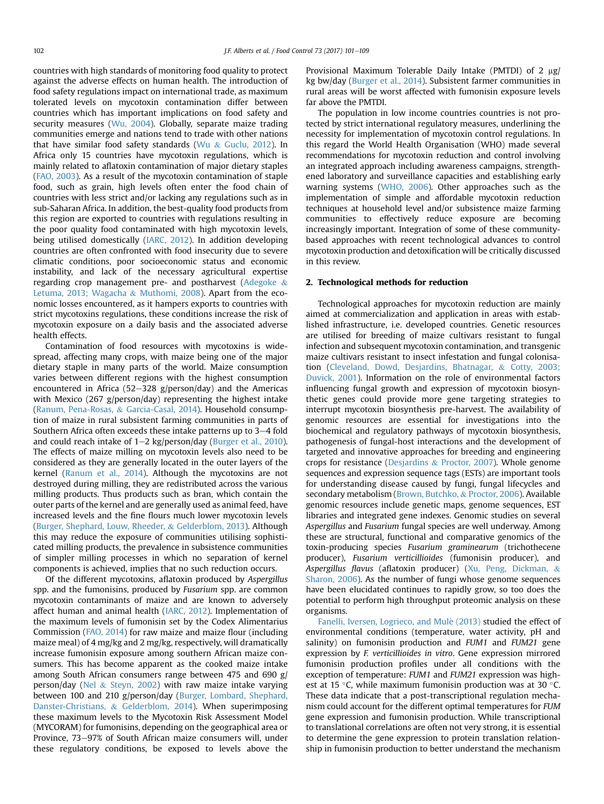countries with high standards of monitoring food quality to protect against the adverse effects on human health. The introduction of food safety regulations impact on international trade, as maximum tolerated levels on mycotoxin contamination differ between countries which has important implications on food safety and security measures ([Wu, 2004](#page-8-0)). Globally, separate maize trading communities emerge and nations tend to trade with other nations that have similar food safety standards [\(Wu](#page-8-0) & [Guclu, 2012\)](#page-8-0). In Africa only 15 countries have mycotoxin regulations, which is mainly related to aflatoxin contamination of major dietary staples ([FAO, 2003\)](#page-7-0). As a result of the mycotoxin contamination of staple food, such as grain, high levels often enter the food chain of countries with less strict and/or lacking any regulations such as in sub-Saharan Africa. In addition, the best-quality food products from this region are exported to countries with regulations resulting in the poor quality food contaminated with high mycotoxin levels, being utilised domestically [\(IARC, 2012](#page-7-0)). In addition developing countries are often confronted with food insecurity due to severe climatic conditions, poor socioeconomic status and economic instability, and lack of the necessary agricultural expertise regarding crop management pre- and postharvest [\(Adegoke](#page-6-0) & [Letuma, 2013; Wagacha](#page-6-0) & [Muthomi, 2008\)](#page-6-0). Apart from the economic losses encountered, as it hampers exports to countries with strict mycotoxins regulations, these conditions increase the risk of mycotoxin exposure on a daily basis and the associated adverse health effects.

Contamination of food resources with mycotoxins is widespread, affecting many crops, with maize being one of the major dietary staple in many parts of the world. Maize consumption varies between different regions with the highest consumption encountered in Africa (52-328 g/person/day) and the Americas with Mexico (267 g/person/day) representing the highest intake ([Ranum, Pena-Rosas,](#page-8-0) & [Garcia-Casal, 2014](#page-8-0)). Household consumption of maize in rural subsistent farming communities in parts of Southern Africa often exceeds these intake patterns up to  $3-4$  fold and could reach intake of  $1-2$  kg/person/day [\(Burger et al., 2010\)](#page-6-0). The effects of maize milling on mycotoxin levels also need to be considered as they are generally located in the outer layers of the kernel [\(Ranum et al., 2014](#page-8-0)). Although the mycotoxins are not destroyed during milling, they are redistributed across the various milling products. Thus products such as bran, which contain the outer parts of the kernel and are generally used as animal feed, have increased levels and the fine flours much lower mycotoxin levels ([Burger, Shephard, Louw, Rheeder,](#page-6-0) & [Gelderblom, 2013\)](#page-6-0). Although this may reduce the exposure of communities utilising sophisticated milling products, the prevalence in subsistence communities of simpler milling processes in which no separation of kernel components is achieved, implies that no such reduction occurs.

Of the different mycotoxins, aflatoxin produced by Aspergillus spp. and the fumonisins, produced by Fusarium spp. are common mycotoxin contaminants of maize and are known to adversely affect human and animal health [\(IARC, 2012](#page-7-0)). Implementation of the maximum levels of fumonisin set by the Codex Alimentarius Commission ([FAO, 2014](#page-7-0)) for raw maize and maize flour (including maize meal) of 4 mg/kg and 2 mg/kg, respectively, will dramatically increase fumonisin exposure among southern African maize consumers. This has become apparent as the cooked maize intake among South African consumers range between 475 and 690 g/ person/day [\(Nel](#page-8-0)  $&$  [Steyn, 2002\)](#page-8-0) with raw maize intake varying between 100 and 210 g/person/day ([Burger, Lombard, Shephard,](#page-6-0) [Danster-Christians,](#page-6-0) & [Gelderblom, 2014](#page-6-0)). When superimposing these maximum levels to the Mycotoxin Risk Assessment Model (MYCORAM) for fumonisins, depending on the geographical area or Province, 73–97% of South African maize consumers will, under these regulatory conditions, be exposed to levels above the Provisional Maximum Tolerable Daily Intake (PMTDI) of 2 µg/ kg bw/day [\(Burger et al., 2014](#page-6-0)). Subsistent farmer communities in rural areas will be worst affected with fumonisin exposure levels far above the PMTDI.

The population in low income countries countries is not protected by strict international regulatory measures, underlining the necessity for implementation of mycotoxin control regulations. In this regard the World Health Organisation (WHO) made several recommendations for mycotoxin reduction and control involving an integrated approach including awareness campaigns, strengthened laboratory and surveillance capacities and establishing early warning systems ([WHO, 2006](#page-8-0)). Other approaches such as the implementation of simple and affordable mycotoxin reduction techniques at household level and/or subsistence maize farming communities to effectively reduce exposure are becoming increasingly important. Integration of some of these communitybased approaches with recent technological advances to control mycotoxin production and detoxification will be critically discussed in this review.

#### 2. Technological methods for reduction

Technological approaches for mycotoxin reduction are mainly aimed at commercialization and application in areas with established infrastructure, i.e. developed countries. Genetic resources are utilised for breeding of maize cultivars resistant to fungal infection and subsequent mycotoxin contamination, and transgenic maize cultivars resistant to insect infestation and fungal colonisation [\(Cleveland, Dowd, Desjardins, Bhatnagar,](#page-7-0) & [Cotty, 2003;](#page-7-0) [Duvick, 2001](#page-7-0)). Information on the role of environmental factors influencing fungal growth and expression of mycotoxin biosynthetic genes could provide more gene targeting strategies to interrupt mycotoxin biosynthesis pre-harvest. The availability of genomic resources are essential for investigations into the biochemical and regulatory pathways of mycotoxin biosynthesis, pathogenesis of fungal-host interactions and the development of targeted and innovative approaches for breeding and engineering crops for resistance ([Desjardins](#page-7-0) & [Proctor, 2007](#page-7-0)). Whole genome sequences and expression sequence tags (ESTs) are important tools for understanding disease caused by fungi, fungal lifecycles and secondary metabolism [\(Brown, Butchko,](#page-6-0) & [Proctor, 2006](#page-6-0)). Available genomic resources include genetic maps, genome sequences, EST libraries and integrated gene indexes. Genomic studies on several Aspergillus and Fusarium fungal species are well underway. Among these are structural, functional and comparative genomics of the toxin-producing species Fusarium graminearum (trichothecene producer), Fusarium verticillioides (fumonisin producer), and Aspergillus flavus (aflatoxin producer) [\(Xu, Peng, Dickman,](#page-8-0) & [Sharon, 2006](#page-8-0)). As the number of fungi whose genome sequences have been elucidated continues to rapidly grow, so too does the potential to perform high throughput proteomic analysis on these organisms.

Fanelli, Iversen, Logrieco, and Mulè (2013) studied the effect of environmental conditions (temperature, water activity, pH and salinity) on fumonisin production and FUM1 and FUM21 gene expression by F. verticillioides in vitro. Gene expression mirrored fumonisin production profiles under all conditions with the exception of temperature: FUM1 and FUM21 expression was highest at 15 °C, while maximum fumonisin production was at 30 °C. These data indicate that a post-transcriptional regulation mechanism could account for the different optimal temperatures for FUM gene expression and fumonisin production. While transcriptional to translational correlations are often not very strong, it is essential to determine the gene expression to protein translation relationship in fumonisin production to better understand the mechanism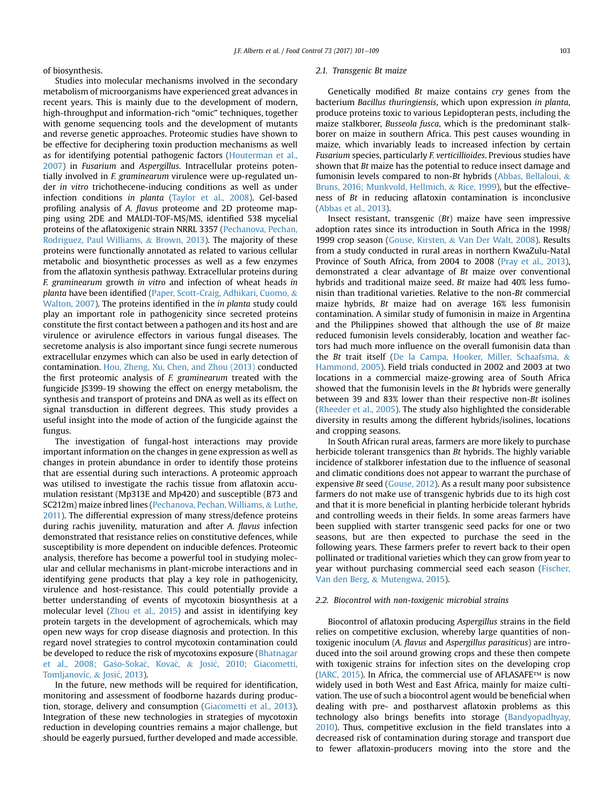of biosynthesis.

Studies into molecular mechanisms involved in the secondary metabolism of microorganisms have experienced great advances in recent years. This is mainly due to the development of modern, high-throughput and information-rich "omic" techniques, together with genome sequencing tools and the development of mutants and reverse genetic approaches. Proteomic studies have shown to be effective for deciphering toxin production mechanisms as well as for identifying potential pathogenic factors [\(Houterman et al.,](#page-7-0) [2007\)](#page-7-0) in Fusarium and Aspergillus. Intracellular proteins potentially involved in F. graminearum virulence were up-regulated under in vitro trichothecene-inducing conditions as well as under infection conditions in planta ([Taylor et al., 2008\)](#page-8-0). Gel-based profiling analysis of A. flavus proteome and 2D proteome mapping using 2DE and MALDI-TOF-MS/MS, identified 538 mycelial proteins of the aflatoxigenic strain NRRL 3357 [\(Pechanova, Pechan,](#page-8-0) [Rodriguez, Paul Williams,](#page-8-0) & [Brown, 2013\)](#page-8-0). The majority of these proteins were functionally annotated as related to various cellular metabolic and biosynthetic processes as well as a few enzymes from the aflatoxin synthesis pathway. Extracellular proteins during F. graminearum growth in vitro and infection of wheat heads in planta have been identified ([Paper, Scott-Craig, Adhikari, Cuomo,](#page-8-0) & [Walton, 2007\)](#page-8-0). The proteins identified in the in planta study could play an important role in pathogenicity since secreted proteins constitute the first contact between a pathogen and its host and are virulence or avirulence effectors in various fungal diseases. The secretome analysis is also important since fungi secrete numerous extracellular enzymes which can also be used in early detection of contamination. [Hou, Zheng, Xu, Chen, and Zhou \(2013\)](#page-7-0) conducted the first proteomic analysis of F. graminearum treated with the fungicide JS399-19 showing the effect on energy metabolism, the synthesis and transport of proteins and DNA as well as its effect on signal transduction in different degrees. This study provides a useful insight into the mode of action of the fungicide against the fungus.

The investigation of fungal-host interactions may provide important information on the changes in gene expression as well as changes in protein abundance in order to identify those proteins that are essential during such interactions. A proteomic approach was utilised to investigate the rachis tissue from aflatoxin accumulation resistant (Mp313E and Mp420) and susceptible (B73 and SC212m) maize inbred lines ([Pechanova, Pechan, Williams,](#page-8-0) & [Luthe,](#page-8-0) [2011](#page-8-0)). The differential expression of many stress/defence proteins during rachis juvenility, maturation and after A. flavus infection demonstrated that resistance relies on constitutive defences, while susceptibility is more dependent on inducible defences. Proteomic analysis, therefore has become a powerful tool in studying molecular and cellular mechanisms in plant-microbe interactions and in identifying gene products that play a key role in pathogenicity, virulence and host-resistance. This could potentially provide a better understanding of events of mycotoxin biosynthesis at a molecular level ([Zhou et al., 2015](#page-8-0)) and assist in identifying key protein targets in the development of agrochemicals, which may open new ways for crop disease diagnosis and protection. In this regard novel strategies to control mycotoxin contamination could be developed to reduce the risk of mycotoxins exposure [\(Bhatnagar](#page-6-0) [et al., 2008; Ga](#page-6-0)š[o-Soka](#page-6-0)č[,](#page-6-0) Kovač, & [Josi](#page-6-0)ć, 2010; Giacometti, [Tomljanovíc,](#page-6-0) & [Josi](#page-6-0)c[, 2013](#page-6-0)).

In the future, new methods will be required for identification, monitoring and assessment of foodborne hazards during production, storage, delivery and consumption ([Giacometti et al., 2013\)](#page-7-0). Integration of these new technologies in strategies of mycotoxin reduction in developing countries remains a major challenge, but should be eagerly pursued, further developed and made accessible.

#### 2.1. Transgenic Bt maize

Genetically modified Bt maize contains cry genes from the bacterium Bacillus thuringiensis, which upon expression in planta, produce proteins toxic to various Lepidopteran pests, including the maize stalkborer, Busseola fusca, which is the predominant stalkborer on maize in southern Africa. This pest causes wounding in maize, which invariably leads to increased infection by certain Fusarium species, particularly F. verticillioides. Previous studies have shown that Bt maize has the potential to reduce insect damage and fumonisin levels compared to non-Bt hybrids [\(Abbas, Bellaloui,](#page-6-0) & [Bruns, 2016; Munkvold, Hellmich,](#page-6-0) & [Rice, 1999\)](#page-6-0), but the effectiveness of Bt in reducing aflatoxin contamination is inconclusive ([Abbas et al., 2013\)](#page-6-0).

Insect resistant, transgenic (Bt) maize have seen impressive adoption rates since its introduction in South Africa in the 1998/ 1999 crop season ([Gouse, Kirsten,](#page-7-0) & [Van Der Walt, 2008](#page-7-0)). Results from a study conducted in rural areas in northern KwaZulu-Natal Province of South Africa, from 2004 to 2008 [\(Pray et al., 2013\)](#page-8-0), demonstrated a clear advantage of Bt maize over conventional hybrids and traditional maize seed. Bt maize had 40% less fumonisin than traditional varieties. Relative to the non-Bt commercial maize hybrids, Bt maize had on average 16% less fumonisin contamination. A similar study of fumonisin in maize in Argentina and the Philippines showed that although the use of Bt maize reduced fumonisin levels considerably, location and weather factors had much more influence on the overall fumonisin data than the Bt trait itself [\(De la Campa, Hooker, Miller, Schaafsma,](#page-7-0) & [Hammond, 2005](#page-7-0)). Field trials conducted in 2002 and 2003 at two locations in a commercial maize-growing area of South Africa showed that the fumonisin levels in the Bt hybrids were generally between 39 and 83% lower than their respective non-Bt isolines ([Rheeder et al., 2005](#page-8-0)). The study also highlighted the considerable diversity in results among the different hybrids/isolines, locations and cropping seasons.

In South African rural areas, farmers are more likely to purchase herbicide tolerant transgenics than Bt hybrids. The highly variable incidence of stalkborer infestation due to the influence of seasonal and climatic conditions does not appear to warrant the purchase of expensive Bt seed ([Gouse, 2012\)](#page-7-0). As a result many poor subsistence farmers do not make use of transgenic hybrids due to its high cost and that it is more beneficial in planting herbicide tolerant hybrids and controlling weeds in their fields. In some areas farmers have been supplied with starter transgenic seed packs for one or two seasons, but are then expected to purchase the seed in the following years. These farmers prefer to revert back to their open pollinated or traditional varieties which they can grow from year to year without purchasing commercial seed each season [\(Fischer,](#page-7-0) [Van den Berg,](#page-7-0) & [Mutengwa, 2015\)](#page-7-0).

#### 2.2. Biocontrol with non-toxigenic microbial strains

Biocontrol of aflatoxin producing Aspergillus strains in the field relies on competitive exclusion, whereby large quantities of nontoxigenic inoculum (A. flavus and Aspergillus parasiticus) are introduced into the soil around growing crops and these then compete with toxigenic strains for infection sites on the developing crop ([IARC, 2015](#page-7-0)). In Africa, the commercial use of AFLASAFE™ is now widely used in both West and East Africa, mainly for maize cultivation. The use of such a biocontrol agent would be beneficial when dealing with pre- and postharvest aflatoxin problems as this technology also brings benefits into storage [\(Bandyopadhyay,](#page-6-0) [2010\)](#page-6-0). Thus, competitive exclusion in the field translates into a decreased risk of contamination during storage and transport due to fewer aflatoxin-producers moving into the store and the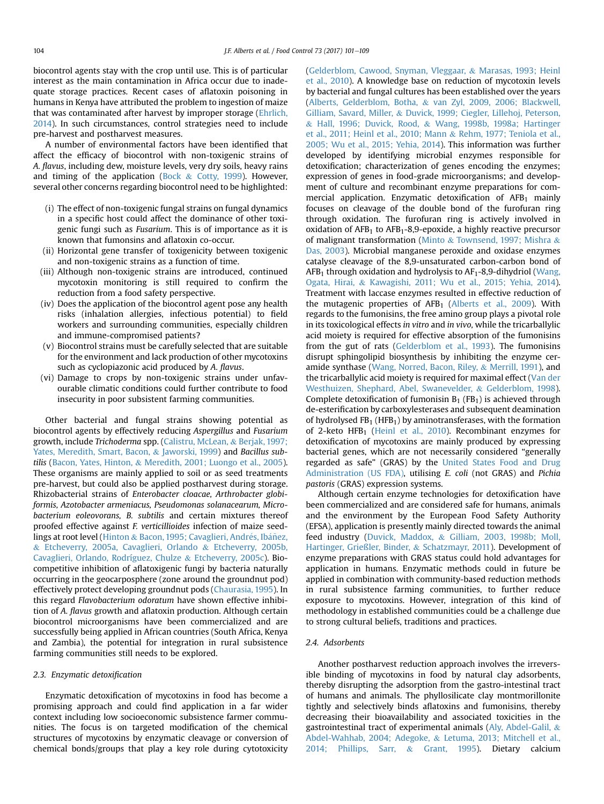biocontrol agents stay with the crop until use. This is of particular interest as the main contamination in Africa occur due to inadequate storage practices. Recent cases of aflatoxin poisoning in humans in Kenya have attributed the problem to ingestion of maize that was contaminated after harvest by improper storage [\(Ehrlich,](#page-7-0) [2014](#page-7-0)). In such circumstances, control strategies need to include pre-harvest and postharvest measures.

A number of environmental factors have been identified that affect the efficacy of biocontrol with non-toxigenic strains of A. flavus, including dew, moisture levels, very dry soils, heavy rains and timing of the application ([Bock](#page-6-0)  $&$  [Cotty, 1999\)](#page-6-0). However, several other concerns regarding biocontrol need to be highlighted:

- (i) The effect of non-toxigenic fungal strains on fungal dynamics in a specific host could affect the dominance of other toxigenic fungi such as Fusarium. This is of importance as it is known that fumonsins and aflatoxin co-occur.
- (ii) Horizontal gene transfer of toxigenicity between toxigenic and non-toxigenic strains as a function of time.
- (iii) Although non-toxigenic strains are introduced, continued mycotoxin monitoring is still required to confirm the reduction from a food safety perspective.
- (iv) Does the application of the biocontrol agent pose any health risks (inhalation allergies, infectious potential) to field workers and surrounding communities, especially children and immune-compromised patients?
- (v) Biocontrol strains must be carefully selected that are suitable for the environment and lack production of other mycotoxins such as cyclopiazonic acid produced by A. flavus.
- (vi) Damage to crops by non-toxigenic strains under unfavourable climatic conditions could further contribute to food insecurity in poor subsistent farming communities.

Other bacterial and fungal strains showing potential as biocontrol agents by effectively reducing Aspergillus and Fusarium growth, include Trichoderma spp. ([Calistru, McLean,](#page-6-0) & [Berjak, 1997;](#page-6-0) [Yates, Meredith, Smart, Bacon,](#page-6-0) & [Jaworski, 1999\)](#page-6-0) and Bacillus subtilis ([Bacon, Yates, Hinton,](#page-6-0) & [Meredith, 2001; Luongo et al., 2005\)](#page-6-0). These organisms are mainly applied to soil or as seed treatments pre-harvest, but could also be applied postharvest during storage. Rhizobacterial strains of Enterobacter cloacae, Arthrobacter globiformis, Azotobacter armeniacus, Pseudomonas solanacearum, Microbacterium eoleovorans, B. subtilis and certain mixtures thereof proofed effective against F. verticillioides infection of maize seed-lings at root level [\(Hinton](#page-7-0) & Bacon, 1995; Cavaglieri, Andrés, Ibáñ[ez,](#page-7-0) & [Etcheverry, 2005a, Cavaglieri, Orlando](#page-7-0) & [Etcheverry, 2005b,](#page-7-0) [Cavaglieri, Orlando, Rodríguez, Chulze](#page-7-0) & [Etcheverry, 2005c](#page-7-0)). Biocompetitive inhibition of aflatoxigenic fungi by bacteria naturally occurring in the geocarposphere (zone around the groundnut pod) effectively protect developing groundnut pods [\(Chaurasia, 1995\)](#page-7-0). In this regard Flavobacterium odoratum have shown effective inhibition of A. flavus growth and aflatoxin production. Although certain biocontrol microorganisms have been commercialized and are successfully being applied in African countries (South Africa, Kenya and Zambia), the potential for integration in rural subsistence farming communities still needs to be explored.

#### 2.3. Enzymatic detoxification

Enzymatic detoxification of mycotoxins in food has become a promising approach and could find application in a far wider context including low socioeconomic subsistence farmer communities. The focus is on targeted modification of the chemical structures of mycotoxins by enzymatic cleavage or conversion of chemical bonds/groups that play a key role during cytotoxicity ([Gelderblom, Cawood, Snyman, Vleggaar,](#page-7-0) & [Marasas, 1993; Heinl](#page-7-0) [et al., 2010](#page-7-0)). A knowledge base on reduction of mycotoxin levels by bacterial and fungal cultures has been established over the years ([Alberts, Gelderblom, Botha,](#page-6-0) & [van Zyl, 2009, 2006; Blackwell,](#page-6-0) [Gilliam, Savard, Miller,](#page-6-0) & [Duvick, 1999; Ciegler, Lillehoj, Peterson,](#page-6-0) & [Hall, 1996; Duvick, Rood,](#page-6-0) & [Wang, 1998b, 1998a; Hartinger](#page-6-0) [et al., 2011; Heinl et al., 2010; Mann](#page-6-0) & [Rehm, 1977; Teniola et al.,](#page-6-0) [2005; Wu et al., 2015; Yehia, 2014](#page-6-0)). This information was further developed by identifying microbial enzymes responsible for detoxification; characterization of genes encoding the enzymes; expression of genes in food-grade microorganisms; and development of culture and recombinant enzyme preparations for commercial application. Enzymatic detoxification of  $AFB<sub>1</sub>$  mainly focuses on cleavage of the double bond of the furofuran ring through oxidation. The furofuran ring is actively involved in oxidation of  $AFB<sub>1</sub>$  to  $AFB<sub>1</sub>-8.9$ -epoxide, a highly reactive precursor of malignant transformation [\(Minto](#page-8-0) & [Townsend, 1997; Mishra](#page-8-0) & [Das, 2003\)](#page-8-0). Microbial manganese peroxide and oxidase enzymes catalyse cleavage of the 8,9-unsaturated carbon-carbon bond of  $AFB<sub>1</sub>$  through oxidation and hydrolysis to  $AF<sub>1</sub>-8,9$ -dihydriol [\(Wang,](#page-8-0) [Ogata, Hirai,](#page-8-0) & [Kawagishi, 2011; Wu et al., 2015; Yehia, 2014\)](#page-8-0). Treatment with laccase enzymes resulted in effective reduction of the mutagenic properties of  $AFB<sub>1</sub>$  [\(Alberts et al., 2009](#page-6-0)). With regards to the fumonisins, the free amino group plays a pivotal role in its toxicological effects in vitro and in vivo, while the tricarballylic acid moiety is required for effective absorption of the fumonisins from the gut of rats ([Gelderblom et al., 1993\)](#page-7-0). The fumonisins disrupt sphingolipid biosynthesis by inhibiting the enzyme ceramide synthase ([Wang, Norred, Bacon, Riley,](#page-8-0) & [Merrill, 1991](#page-8-0)), and the tricarballylic acid moiety is required for maximal effect ([Van der](#page-8-0) [Westhuizen, Shephard, Abel, Swanevelder,](#page-8-0) & [Gelderblom, 1998\)](#page-8-0). Complete detoxification of fumonisin  $B_1$  (FB<sub>1</sub>) is achieved through de-esterification by carboxylesterases and subsequent deamination of hydrolysed  $FB<sub>1</sub>$  (HFB<sub>1</sub>) by aminotransferases, with the formation of 2-keto  $HFB<sub>1</sub>$  ([Heinl et al., 2010](#page-7-0)). Recombinant enzymes for detoxification of mycotoxins are mainly produced by expressing bacterial genes, which are not necessarily considered "generally regarded as safe" (GRAS) by the [United States Food and Drug](#page-8-0) [Administration \(US FDA\)](#page-8-0), utilising E. coli (not GRAS) and Pichia pastoris (GRAS) expression systems.

Although certain enzyme technologies for detoxification have been commercialized and are considered safe for humans, animals and the environment by the European Food Safety Authority (EFSA), application is presently mainly directed towards the animal feed industry [\(Duvick, Maddox,](#page-7-0) & [Gilliam, 2003, 1998b; Moll,](#page-7-0) [Hartinger, Grie](#page-7-0)ß[ler, Binder,](#page-7-0) & [Schatzmayr, 2011\)](#page-7-0). Development of enzyme preparations with GRAS status could hold advantages for application in humans. Enzymatic methods could in future be applied in combination with community-based reduction methods in rural subsistence farming communities, to further reduce exposure to mycotoxins. However, integration of this kind of methodology in established communities could be a challenge due to strong cultural beliefs, traditions and practices.

# 2.4. Adsorbents

Another postharvest reduction approach involves the irreversible binding of mycotoxins in food by natural clay adsorbents, thereby disrupting the adsorption from the gastro-intestinal tract of humans and animals. The phyllosilicate clay montmorillonite tightly and selectively binds aflatoxins and fumonisins, thereby decreasing their bioavailability and associated toxicities in the gastrointestinal tract of experimental animals ([Aly, Abdel-Galil,](#page-6-0) & [Abdel-Wahhab, 2004; Adegoke,](#page-6-0) & [Letuma, 2013; Mitchell et al.,](#page-6-0) [2014; Phillips, Sarr,](#page-6-0) & [Grant, 1995\)](#page-6-0). Dietary calcium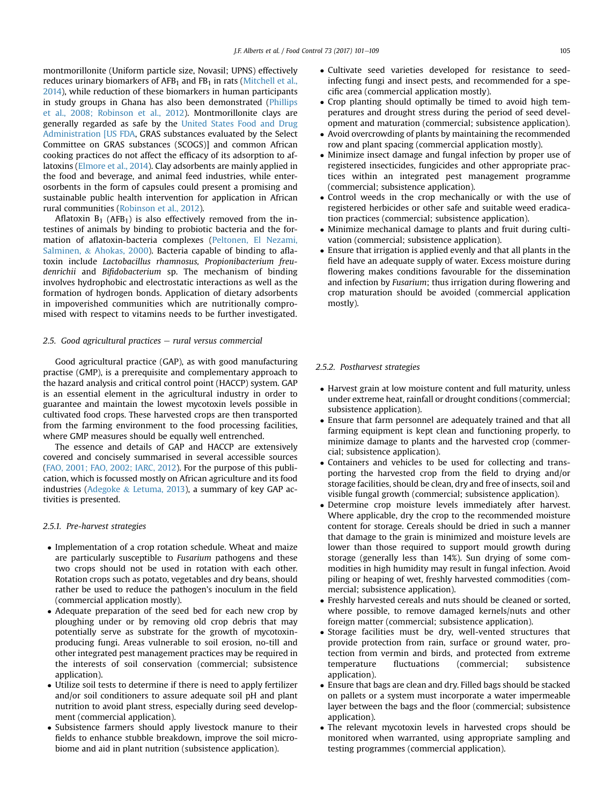montmorillonite (Uniform particle size, Novasil; UPNS) effectively reduces urinary biomarkers of  $AFB<sub>1</sub>$  and  $FB<sub>1</sub>$  in rats ([Mitchell et al.,](#page-8-0) [2014\)](#page-8-0), while reduction of these biomarkers in human participants in study groups in Ghana has also been demonstrated ([Phillips](#page-8-0) [et al., 2008; Robinson et al., 2012\)](#page-8-0). Montmorillonite clays are generally regarded as safe by the [United States Food and Drug](#page-8-0) [Administration \[US FDA](#page-8-0), GRAS substances evaluated by the Select Committee on GRAS substances (SCOGS)] and common African cooking practices do not affect the efficacy of its adsorption to aflatoxins [\(Elmore et al., 2014](#page-7-0)). Clay adsorbents are mainly applied in the food and beverage, and animal feed industries, while enterosorbents in the form of capsules could present a promising and sustainable public health intervention for application in African rural communities [\(Robinson et al., 2012\)](#page-8-0).

Aflatoxin  $B_1$  (AFB<sub>1</sub>) is also effectively removed from the intestines of animals by binding to probiotic bacteria and the formation of aflatoxin-bacteria complexes [\(Peltonen, El Nezami,](#page-8-0) [Salminen,](#page-8-0) & [Ahokas, 2000](#page-8-0)). Bacteria capable of binding to aflatoxin include Lactobacillus rhamnosus, Propionibacterium freudenrichii and Bifidobacterium sp. The mechanism of binding involves hydrophobic and electrostatic interactions as well as the formation of hydrogen bonds. Application of dietary adsorbents in impoverished communities which are nutritionally compromised with respect to vitamins needs to be further investigated.

# 2.5. Good agricultural practices  $-$  rural versus commercial

Good agricultural practice (GAP), as with good manufacturing practise (GMP), is a prerequisite and complementary approach to the hazard analysis and critical control point (HACCP) system. GAP is an essential element in the agricultural industry in order to guarantee and maintain the lowest mycotoxin levels possible in cultivated food crops. These harvested crops are then transported from the farming environment to the food processing facilities, where GMP measures should be equally well entrenched.

The essence and details of GAP and HACCP are extensively covered and concisely summarised in several accessible sources ([FAO, 2001; FAO, 2002; IARC, 2012\)](#page-7-0). For the purpose of this publication, which is focussed mostly on African agriculture and its food industries [\(Adegoke](#page-6-0) & [Letuma, 2013\)](#page-6-0), a summary of key GAP activities is presented.

#### 2.5.1. Pre-harvest strategies

- Implementation of a crop rotation schedule. Wheat and maize are particularly susceptible to Fusarium pathogens and these two crops should not be used in rotation with each other. Rotation crops such as potato, vegetables and dry beans, should rather be used to reduce the pathogen's inoculum in the field (commercial application mostly).
- Adequate preparation of the seed bed for each new crop by ploughing under or by removing old crop debris that may potentially serve as substrate for the growth of mycotoxinproducing fungi. Areas vulnerable to soil erosion, no-till and other integrated pest management practices may be required in the interests of soil conservation (commercial; subsistence application).
- Utilize soil tests to determine if there is need to apply fertilizer and/or soil conditioners to assure adequate soil pH and plant nutrition to avoid plant stress, especially during seed development (commercial application).
- Subsistence farmers should apply livestock manure to their fields to enhance stubble breakdown, improve the soil microbiome and aid in plant nutrition (subsistence application).
- Cultivate seed varieties developed for resistance to seedinfecting fungi and insect pests, and recommended for a specific area (commercial application mostly).
- Crop planting should optimally be timed to avoid high temperatures and drought stress during the period of seed development and maturation (commercial; subsistence application).
- Avoid overcrowding of plants by maintaining the recommended row and plant spacing (commercial application mostly).
- Minimize insect damage and fungal infection by proper use of registered insecticides, fungicides and other appropriate practices within an integrated pest management programme (commercial; subsistence application).
- Control weeds in the crop mechanically or with the use of registered herbicides or other safe and suitable weed eradication practices (commercial; subsistence application).
- Minimize mechanical damage to plants and fruit during cultivation (commercial; subsistence application).
- Ensure that irrigation is applied evenly and that all plants in the field have an adequate supply of water. Excess moisture during flowering makes conditions favourable for the dissemination and infection by Fusarium; thus irrigation during flowering and crop maturation should be avoided (commercial application mostly).

# 2.5.2. Postharvest strategies

- Harvest grain at low moisture content and full maturity, unless under extreme heat, rainfall or drought conditions (commercial; subsistence application).
- Ensure that farm personnel are adequately trained and that all farming equipment is kept clean and functioning properly, to minimize damage to plants and the harvested crop (commercial; subsistence application).
- Containers and vehicles to be used for collecting and transporting the harvested crop from the field to drying and/or storage facilities, should be clean, dry and free of insects, soil and visible fungal growth (commercial; subsistence application).
- Determine crop moisture levels immediately after harvest. Where applicable, dry the crop to the recommended moisture content for storage. Cereals should be dried in such a manner that damage to the grain is minimized and moisture levels are lower than those required to support mould growth during storage (generally less than 14%). Sun drying of some commodities in high humidity may result in fungal infection. Avoid piling or heaping of wet, freshly harvested commodities (commercial; subsistence application).
- Freshly harvested cereals and nuts should be cleaned or sorted, where possible, to remove damaged kernels/nuts and other foreign matter (commercial; subsistence application).
- Storage facilities must be dry, well-vented structures that provide protection from rain, surface or ground water, protection from vermin and birds, and protected from extreme temperature fluctuations (commercial; subsistence application).
- Ensure that bags are clean and dry. Filled bags should be stacked on pallets or a system must incorporate a water impermeable layer between the bags and the floor (commercial; subsistence application).
- The relevant mycotoxin levels in harvested crops should be monitored when warranted, using appropriate sampling and testing programmes (commercial application).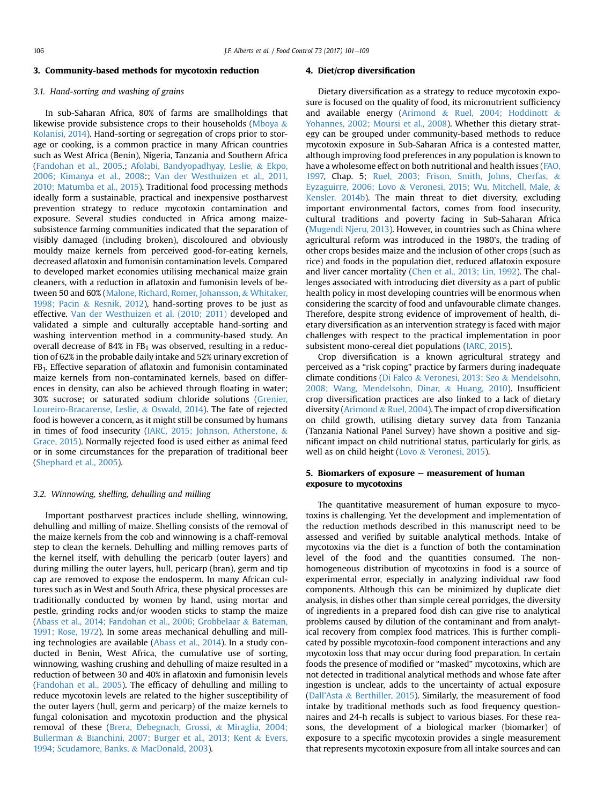#### 3. Community-based methods for mycotoxin reduction

# 3.1. Hand-sorting and washing of grains

In sub-Saharan Africa, 80% of farms are smallholdings that likewise provide subsistence crops to their households [\(Mboya](#page-8-0) & [Kolanisi, 2014](#page-8-0)). Hand-sorting or segregation of crops prior to storage or cooking, is a common practice in many African countries such as West Africa (Benin), Nigeria, Tanzania and Southern Africa ([Fandohan et al., 2005.](#page-7-0); [Afolabi, Bandyopadhyay, Leslie,](#page-6-0) & [Ekpo,](#page-6-0) [2006; Kimanya et al., 2008:](#page-6-0); [Van der Westhuizen et al., 2011,](#page-8-0) [2010; Matumba et al., 2015](#page-8-0)). Traditional food processing methods ideally form a sustainable, practical and inexpensive postharvest prevention strategy to reduce mycotoxin contamination and exposure. Several studies conducted in Africa among maizesubsistence farming communities indicated that the separation of visibly damaged (including broken), discoloured and obviously mouldy maize kernels from perceived good-for-eating kernels, decreased aflatoxin and fumonisin contamination levels. Compared to developed market economies utilising mechanical maize grain cleaners, with a reduction in aflatoxin and fumonisin levels of between 50 and 60% ([Malone, Richard, Romer, Johansson,](#page-7-0) & [Whitaker,](#page-7-0) [1998; Pacin](#page-7-0) & [Resnik, 2012\)](#page-7-0), hand-sorting proves to be just as effective. [Van der Westhuizen et al. \(2010; 2011\)](#page-8-0) developed and validated a simple and culturally acceptable hand-sorting and washing intervention method in a community-based study. An overall decrease of 84% in  $FB<sub>1</sub>$  was observed, resulting in a reduction of 62% in the probable daily intake and 52% urinary excretion of FB1. Effective separation of aflatoxin and fumonisin contaminated maize kernels from non-contaminated kernels, based on differences in density, can also be achieved through floating in water; 30% sucrose; or saturated sodium chloride solutions ([Grenier,](#page-7-0) [Loureiro-Bracarense, Leslie,](#page-7-0) & [Oswald, 2014\)](#page-7-0). The fate of rejected food is however a concern, as it might still be consumed by humans in times of food insecurity [\(IARC, 2015; Johnson, Atherstone,](#page-7-0) & [Grace, 2015\)](#page-7-0). Normally rejected food is used either as animal feed or in some circumstances for the preparation of traditional beer ([Shephard et al., 2005](#page-8-0)).

#### 3.2. Winnowing, shelling, dehulling and milling

Important postharvest practices include shelling, winnowing, dehulling and milling of maize. Shelling consists of the removal of the maize kernels from the cob and winnowing is a chaff-removal step to clean the kernels. Dehulling and milling removes parts of the kernel itself, with dehulling the pericarb (outer layers) and during milling the outer layers, hull, pericarp (bran), germ and tip cap are removed to expose the endosperm. In many African cultures such as in West and South Africa, these physical processes are traditionally conducted by women by hand, using mortar and pestle, grinding rocks and/or wooden sticks to stamp the maize ([Abass et al., 2014; Fandohan et al., 2006; Grobbelaar](#page-6-0) & [Bateman,](#page-6-0) [1991; Rose, 1972](#page-6-0)). In some areas mechanical dehulling and milling technologies are available ([Abass et al., 2014](#page-6-0)). In a study conducted in Benin, West Africa, the cumulative use of sorting, winnowing, washing crushing and dehulling of maize resulted in a reduction of between 30 and 40% in aflatoxin and fumonisin levels ([Fandohan et al., 2005](#page-7-0)). The efficacy of dehulling and milling to reduce mycotoxin levels are related to the higher susceptibility of the outer layers (hull, germ and pericarp) of the maize kernels to fungal colonisation and mycotoxin production and the physical removal of these [\(Brera, Debegnach, Grossi,](#page-6-0) & [Miraglia, 2004;](#page-6-0) [Bullerman](#page-6-0) & [Bianchini, 2007; Burger et al., 2013; Kent](#page-6-0) & [Evers,](#page-6-0) [1994; Scudamore, Banks,](#page-6-0) & [MacDonald, 2003](#page-6-0)).

#### 4. Diet/crop diversification

Dietary diversification as a strategy to reduce mycotoxin exposure is focused on the quality of food, its micronutrient sufficiency and available energy ([Arimond](#page-6-0) & [Ruel, 2004; Hoddinott](#page-6-0) & [Yohannes, 2002; Moursi et al., 2008\)](#page-6-0). Whether this dietary strategy can be grouped under community-based methods to reduce mycotoxin exposure in Sub-Saharan Africa is a contested matter, although improving food preferences in any population is known to have a wholesome effect on both nutritional and health issues [\(FAO,](#page-7-0) [1997,](#page-7-0) Chap. 5; [Ruel, 2003; Frison, Smith, Johns, Cherfas,](#page-8-0) & [Eyzaguirre, 2006; Lovo](#page-8-0) & [Veronesi, 2015; Wu, Mitchell, Male,](#page-8-0) & [Kensler, 2014b\)](#page-8-0). The main threat to diet diversity, excluding important environmental factors, comes from food insecurity, cultural traditions and poverty facing in Sub-Saharan Africa ([Mugendi Njeru, 2013](#page-8-0)). However, in countries such as China where agricultural reform was introduced in the 1980's, the trading of other crops besides maize and the inclusion of other crops (such as rice) and foods in the population diet, reduced aflatoxin exposure and liver cancer mortality ([Chen et al., 2013; Lin, 1992\)](#page-7-0). The challenges associated with introducing diet diversity as a part of public health policy in most developing countries will be enormous when considering the scarcity of food and unfavourable climate changes. Therefore, despite strong evidence of improvement of health, dietary diversification as an intervention strategy is faced with major challenges with respect to the practical implementation in poor subsistent mono-cereal diet populations [\(IARC, 2015](#page-7-0)).

Crop diversification is a known agricultural strategy and perceived as a "risk coping" practice by farmers during inadequate climate conditions [\(Di Falco](#page-7-0) & [Veronesi, 2013; Seo](#page-7-0) & [Mendelsohn,](#page-7-0) [2008; Wang, Mendelsohn, Dinar,](#page-7-0) & [Huang, 2010](#page-7-0)). Insufficient crop diversification practices are also linked to a lack of dietary diversity [\(Arimond](#page-6-0) & [Ruel, 2004](#page-6-0)). The impact of crop diversification on child growth, utilising dietary survey data from Tanzania (Tanzania National Panel Survey) have shown a positive and significant impact on child nutritional status, particularly for girls, as well as on child height ([Lovo](#page-7-0) & [Veronesi, 2015](#page-7-0)).

# 5. Biomarkers of exposure  $-$  measurement of human exposure to mycotoxins

The quantitative measurement of human exposure to mycotoxins is challenging. Yet the development and implementation of the reduction methods described in this manuscript need to be assessed and verified by suitable analytical methods. Intake of mycotoxins via the diet is a function of both the contamination level of the food and the quantities consumed. The nonhomogeneous distribution of mycotoxins in food is a source of experimental error, especially in analyzing individual raw food components. Although this can be minimized by duplicate diet analysis, in dishes other than simple cereal porridges, the diversity of ingredients in a prepared food dish can give rise to analytical problems caused by dilution of the contaminant and from analytical recovery from complex food matrices. This is further complicated by possible mycotoxin-food component interactions and any mycotoxin loss that may occur during food preparation. In certain foods the presence of modified or "masked" mycotoxins, which are not detected in traditional analytical methods and whose fate after ingestion is unclear, adds to the uncertainty of actual exposure (Dall'[Asta](#page-7-0) & [Berthiller, 2015\)](#page-7-0). Similarly, the measurement of food intake by traditional methods such as food frequency questionnaires and 24-h recalls is subject to various biases. For these reasons, the development of a biological marker (biomarker) of exposure to a specific mycotoxin provides a single measurement that represents mycotoxin exposure from all intake sources and can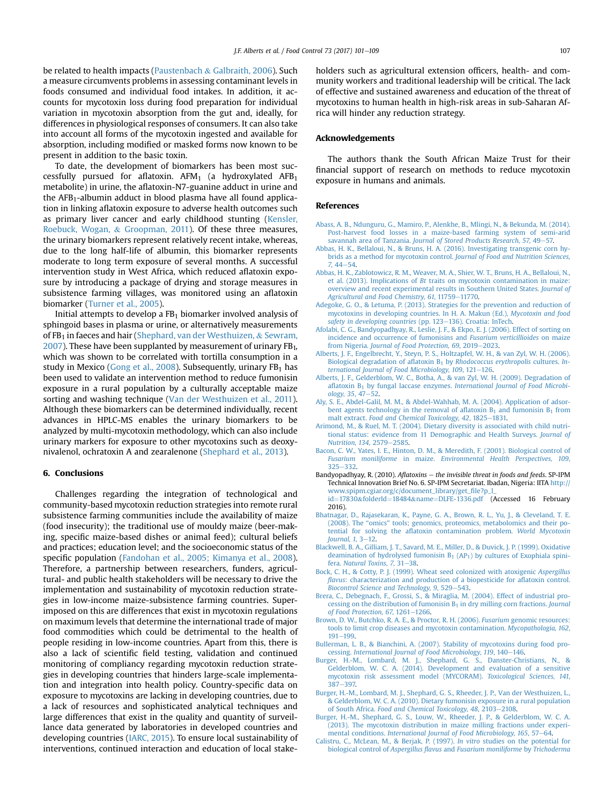<span id="page-6-0"></span>be related to health impacts [\(Paustenbach](#page-8-0) & [Galbraith, 2006\)](#page-8-0). Such a measure circumvents problems in assessing contaminant levels in foods consumed and individual food intakes. In addition, it accounts for mycotoxin loss during food preparation for individual variation in mycotoxin absorption from the gut and, ideally, for differences in physiological responses of consumers. It can also take into account all forms of the mycotoxin ingested and available for absorption, including modified or masked forms now known to be present in addition to the basic toxin.

To date, the development of biomarkers has been most successfully pursued for aflatoxin. AFM<sub>1</sub> (a hydroxylated AFB<sub>1</sub> metabolite) in urine, the aflatoxin-N7-guanine adduct in urine and the  $AFB<sub>1</sub>$ -albumin adduct in blood plasma have all found application in linking aflatoxin exposure to adverse health outcomes such as primary liver cancer and early childhood stunting ([Kensler,](#page-7-0) [Roebuck, Wogan,](#page-7-0) & [Groopman, 2011\)](#page-7-0). Of these three measures, the urinary biomarkers represent relatively recent intake, whereas, due to the long half-life of albumin, this biomarker represents moderate to long term exposure of several months. A successful intervention study in West Africa, which reduced aflatoxin exposure by introducing a package of drying and storage measures in subsistence farming villages, was monitored using an aflatoxin biomarker [\(Turner et al., 2005\)](#page-8-0).

Initial attempts to develop a  $FB<sub>1</sub>$  biomarker involved analysis of sphingoid bases in plasma or urine, or alternatively measurements of  $FB<sub>1</sub>$  in faeces and hair [\(Shephard, van der Westhuizen,](#page-8-0) & [Sewram,](#page-8-0)  $2007$ ). These have been supplanted by measurement of urinary FB<sub>1</sub>, which was shown to be correlated with tortilla consumption in a study in Mexico ([Gong et al., 2008](#page-7-0)). Subsequently, urinary  $FB<sub>1</sub>$  has been used to validate an intervention method to reduce fumonisin exposure in a rural population by a culturally acceptable maize sorting and washing technique ([Van der Westhuizen et al., 2011\)](#page-8-0). Although these biomarkers can be determined individually, recent advances in HPLC-MS enables the urinary biomarkers to be analyzed by multi-mycotoxin methodology, which can also include urinary markers for exposure to other mycotoxins such as deoxynivalenol, ochratoxin A and zearalenone [\(Shephard et al., 2013\)](#page-8-0).

### 6. Conclusions

Challenges regarding the integration of technological and community-based mycotoxin reduction strategies into remote rural subsistence farming communities include the availability of maize (food insecurity); the traditional use of mouldy maize (beer-making, specific maize-based dishes or animal feed); cultural beliefs and practices; education level; and the socioeconomic status of the specific population ([Fandohan et al., 2005; Kimanya et al., 2008\)](#page-7-0). Therefore, a partnership between researchers, funders, agricultural- and public health stakeholders will be necessary to drive the implementation and sustainability of mycotoxin reduction strategies in low-income maize-subsistence farming countries. Superimposed on this are differences that exist in mycotoxin regulations on maximum levels that determine the international trade of major food commodities which could be detrimental to the health of people residing in low-income countries. Apart from this, there is also a lack of scientific field testing, validation and continued monitoring of compliancy regarding mycotoxin reduction strategies in developing countries that hinders large-scale implementation and integration into health policy. Country-specific data on exposure to mycotoxins are lacking in developing countries, due to a lack of resources and sophisticated analytical techniques and large differences that exist in the quality and quantity of surveillance data generated by laboratories in developed countries and developing countries [\(IARC, 2015](#page-7-0)). To ensure local sustainability of interventions, continued interaction and education of local stakeholders such as agricultural extension officers, health- and community workers and traditional leadership will be critical. The lack of effective and sustained awareness and education of the threat of mycotoxins to human health in high-risk areas in sub-Saharan Africa will hinder any reduction strategy.

#### Acknowledgements

The authors thank the South African Maize Trust for their financial support of research on methods to reduce mycotoxin exposure in humans and animals.

#### References

- [Abass, A. B., Ndunguru, G., Mamiro, P., Alenkhe, B., Mlingi, N., & Bekunda, M. \(2014\).](http://refhub.elsevier.com/S0956-7135(16)30263-8/sref1) [Post-harvest food losses in a maize-based farming system of semi-arid](http://refhub.elsevier.com/S0956-7135(16)30263-8/sref1) savannah area of Tanzania. [Journal of Stored Products Research, 57](http://refhub.elsevier.com/S0956-7135(16)30263-8/sref1), 49-[57.](http://refhub.elsevier.com/S0956-7135(16)30263-8/sref1)
- [Abbas, H. K., Bellaloui, N., & Bruns, H. A. \(2016\). Investigating transgenic corn hy](http://refhub.elsevier.com/S0956-7135(16)30263-8/sref2)[brids as a method for mycotoxin control.](http://refhub.elsevier.com/S0956-7135(16)30263-8/sref2) Journal of Food and Nutrition Sciences,  $7,44-54.$  $7,44-54.$
- [Abbas, H. K., Zablotowicz, R. M., Weaver, M. A., Shier, W. T., Bruns, H. A., Bellaloui, N.,](http://refhub.elsevier.com/S0956-7135(16)30263-8/sref3) et al. (2013). Implications of Bt [traits on mycotoxin contamination in maize:](http://refhub.elsevier.com/S0956-7135(16)30263-8/sref3) [overview and recent experimental results in Southern United States.](http://refhub.elsevier.com/S0956-7135(16)30263-8/sref3) Journal of [Agricultural and Food Chemistry, 61](http://refhub.elsevier.com/S0956-7135(16)30263-8/sref3), 11759-[11770.](http://refhub.elsevier.com/S0956-7135(16)30263-8/sref3)
- [Adegoke, G. O., & Letuma, P. \(2013\). Strategies for the prevention and reduction of](http://refhub.elsevier.com/S0956-7135(16)30263-8/sref126) [mycotoxins in developing countries. In H. A. Makun \(Ed.\),](http://refhub.elsevier.com/S0956-7135(16)30263-8/sref126) Mycotoxin and food [safety in developing countries](http://refhub.elsevier.com/S0956-7135(16)30263-8/sref126) (pp. 123-[136\). Croatia: InTech.](http://refhub.elsevier.com/S0956-7135(16)30263-8/sref126)
- [Afolabi, C. G., Bandyopadhyay, R., Leslie, J. F., & Ekpo, E. J. \(2006\). Effect of sorting on](http://refhub.elsevier.com/S0956-7135(16)30263-8/sref4) [incidence and occurrence of fumonisins and](http://refhub.elsevier.com/S0956-7135(16)30263-8/sref4) Fusarium verticillioides on maize from Nigeria. [Journal of Food Protection, 69](http://refhub.elsevier.com/S0956-7135(16)30263-8/sref4), 2019-[2023](http://refhub.elsevier.com/S0956-7135(16)30263-8/sref4).
- [Alberts, J. F., Engelbrecht, Y., Steyn, P. S., Holtzapfel, W. H., & van Zyl, W. H. \(2006\).](http://refhub.elsevier.com/S0956-7135(16)30263-8/sref5) [Biological degradation of a](http://refhub.elsevier.com/S0956-7135(16)30263-8/sref5)flatoxin  $B_1$  by [Rhodococcus erythropolis](http://refhub.elsevier.com/S0956-7135(16)30263-8/sref5) cultures. In[ternational Journal of Food Microbiology, 109](http://refhub.elsevier.com/S0956-7135(16)30263-8/sref5), 121-[126.](http://refhub.elsevier.com/S0956-7135(16)30263-8/sref5)
- [Alberts, J. F., Gelderblom, W. C., Botha, A., & van Zyl, W. H. \(2009\). Degradation of](http://refhub.elsevier.com/S0956-7135(16)30263-8/sref6) aflatoxin  $B_1$  by fungal laccase enzymes. [International Journal of Food Microbi](http://refhub.elsevier.com/S0956-7135(16)30263-8/sref6)[ology, 35](http://refhub.elsevier.com/S0956-7135(16)30263-8/sref6), 47-[52](http://refhub.elsevier.com/S0956-7135(16)30263-8/sref6).
- [Aly, S. E., Abdel-Galil, M. M., & Abdel-Wahhab, M. A. \(2004\). Application of adsor](http://refhub.elsevier.com/S0956-7135(16)30263-8/sref7)[bent agents technology in the removal of a](http://refhub.elsevier.com/S0956-7135(16)30263-8/sref7)flatoxin  $B_1$  and fumonisin  $B_1$  [from](http://refhub.elsevier.com/S0956-7135(16)30263-8/sref7) malt extract. [Food and Chemical Toxicology, 42](http://refhub.elsevier.com/S0956-7135(16)30263-8/sref7), 1825-[1831.](http://refhub.elsevier.com/S0956-7135(16)30263-8/sref7)
- [Arimond, M., & Ruel, M. T. \(2004\). Dietary diversity is associated with child nutri](http://refhub.elsevier.com/S0956-7135(16)30263-8/sref8)[tional status: evidence from 11 Demographic and Health Surveys.](http://refhub.elsevier.com/S0956-7135(16)30263-8/sref8) Journal of [Nutrition, 134](http://refhub.elsevier.com/S0956-7135(16)30263-8/sref8), 2579-[2585.](http://refhub.elsevier.com/S0956-7135(16)30263-8/sref8)
- [Bacon, C. W., Yates, I. E., Hinton, D. M., & Meredith, F. \(2001\). Biological control of](http://refhub.elsevier.com/S0956-7135(16)30263-8/sref9) Fusarium moniliforme in maize. [Environmental Health Perspectives, 109](http://refhub.elsevier.com/S0956-7135(16)30263-8/sref9), [325](http://refhub.elsevier.com/S0956-7135(16)30263-8/sref9)e[332](http://refhub.elsevier.com/S0956-7135(16)30263-8/sref9).
- Bandyopadhyay, R. (2010). Aflatoxins  $-$  the invisible threat in foods and feeds. SP-IPM Technical Innovation Brief No. 6. SP-IPM Secretariat. Ibadan, Nigeria: IITA [http://](http://www.spipm.cgiar.org/c/document_library/get_file?p_l_id=17830&folderId=18484&name=DLFE-1336.pdf) [www.spipm.cgiar.org/c/document\\_library/get\\_](http://www.spipm.cgiar.org/c/document_library/get_file?p_l_id=17830&folderId=18484&name=DLFE-1336.pdf)file?p\_l\_
- [id](http://www.spipm.cgiar.org/c/document_library/get_file?p_l_id=17830&folderId=18484&name=DLFE-1336.pdf)=[17830](http://www.spipm.cgiar.org/c/document_library/get_file?p_l_id=17830&folderId=18484&name=DLFE-1336.pdf)&[folderId](http://www.spipm.cgiar.org/c/document_library/get_file?p_l_id=17830&folderId=18484&name=DLFE-1336.pdf)=[18484](http://www.spipm.cgiar.org/c/document_library/get_file?p_l_id=17830&folderId=18484&name=DLFE-1336.pdf)&[name](http://www.spipm.cgiar.org/c/document_library/get_file?p_l_id=17830&folderId=18484&name=DLFE-1336.pdf)=[DLFE-1336.pdf](http://www.spipm.cgiar.org/c/document_library/get_file?p_l_id=17830&folderId=18484&name=DLFE-1336.pdf) (Accessed 16 February 2016).
- [Bhatnagar, D., Rajasekaran, K., Payne, G. A., Brown, R. L., Yu, J., & Cleveland, T. E.](http://refhub.elsevier.com/S0956-7135(16)30263-8/sref11) (2008). The "omics" [tools; genomics, proteomics, metabolomics and their po](http://refhub.elsevier.com/S0956-7135(16)30263-8/sref11)tential for solving the afl[atoxin contamination problem.](http://refhub.elsevier.com/S0956-7135(16)30263-8/sref11) World Mycotoxin Journal,  $1, 3-12$  $1, 3-12$ .
- [Blackwell, B. A., Gilliam, J. T., Savard, M. E., Miller, D., & Duvick, J. P. \(1999\). Oxidative](http://refhub.elsevier.com/S0956-7135(16)30263-8/sref12) deamination of hydrolysed fumonisin  $B_1$  (AP<sub>1</sub>) by cultures of Exophiala spini-fera. [Natural Toxins, 7](http://refhub.elsevier.com/S0956-7135(16)30263-8/sref12), 31-[38](http://refhub.elsevier.com/S0956-7135(16)30263-8/sref12).
- [Bock, C. H., & Cotty, P. J. \(1999\). Wheat seed colonized with atoxigenic](http://refhub.elsevier.com/S0956-7135(16)30263-8/sref13) Aspergillus flavus[: characterization and production of a biopesticide for a](http://refhub.elsevier.com/S0956-7135(16)30263-8/sref13)flatoxin control. [Biocontrol Science and Technology, 9](http://refhub.elsevier.com/S0956-7135(16)30263-8/sref13), 529-[543.](http://refhub.elsevier.com/S0956-7135(16)30263-8/sref13)
- [Brera, C., Debegnach, F., Grossi, S., & Miraglia, M. \(2004\). Effect of industrial pro](http://refhub.elsevier.com/S0956-7135(16)30263-8/sref14)cessing on the distribution of fumonisin  $B_1$  [in dry milling corn fractions.](http://refhub.elsevier.com/S0956-7135(16)30263-8/sref14) Journal [of Food Protection, 67](http://refhub.elsevier.com/S0956-7135(16)30263-8/sref14), 1261-[1266](http://refhub.elsevier.com/S0956-7135(16)30263-8/sref14).
- [Brown, D. W., Butchko, R. A. E., & Proctor, R. H. \(2006\).](http://refhub.elsevier.com/S0956-7135(16)30263-8/sref15) Fusarium genomic resources: [tools to limit crop diseases and mycotoxin contamination.](http://refhub.elsevier.com/S0956-7135(16)30263-8/sref15) Mycopathologia, 162,  $191 - 199.$  $191 - 199.$  $191 - 199.$
- [Bullerman, L. B., & Bianchini, A. \(2007\). Stability of mycotoxins during food pro-](http://refhub.elsevier.com/S0956-7135(16)30263-8/sref16)cessing. [International Journal of Food Microbiology, 119](http://refhub.elsevier.com/S0956-7135(16)30263-8/sref16), 140-[146.](http://refhub.elsevier.com/S0956-7135(16)30263-8/sref16)
- [Burger, H.-M., Lombard, M. J., Shephard, G. S., Danster-Christians, N., &](http://refhub.elsevier.com/S0956-7135(16)30263-8/sref17) [Gelderblom, W. C. A. \(2014\). Development and evaluation of a sensitive](http://refhub.elsevier.com/S0956-7135(16)30263-8/sref17) [mycotoxin risk assessment model \(MYCORAM\).](http://refhub.elsevier.com/S0956-7135(16)30263-8/sref17) Toxicological Sciences, 141, [387](http://refhub.elsevier.com/S0956-7135(16)30263-8/sref17)-397
- [Burger, H.-M., Lombard, M. J., Shephard, G. S., Rheeder, J. P., Van der Westhuizen, L.,](http://refhub.elsevier.com/S0956-7135(16)30263-8/sref18) [& Gelderblom, W. C. A. \(2010\). Dietary fumonisin exposure in a rural population](http://refhub.elsevier.com/S0956-7135(16)30263-8/sref18) of South Africa. [Food and Chemical Toxicology, 48](http://refhub.elsevier.com/S0956-7135(16)30263-8/sref18), 2103-[2108](http://refhub.elsevier.com/S0956-7135(16)30263-8/sref18).
- [Burger, H.-M., Shephard, G. S., Louw, W., Rheeder, J. P., & Gelderblom, W. C. A.](http://refhub.elsevier.com/S0956-7135(16)30263-8/sref19) [\(2013\). The mycotoxin distribution in maize milling fractions under experi-](http://refhub.elsevier.com/S0956-7135(16)30263-8/sref19)mental conditions. [International Journal of Food Microbiology, 165](http://refhub.elsevier.com/S0956-7135(16)30263-8/sref19), 57-[64](http://refhub.elsevier.com/S0956-7135(16)30263-8/sref19).
- [Calistru, C., McLean, M., & Berjak, P. \(1997\).](http://refhub.elsevier.com/S0956-7135(16)30263-8/sref20) In vitro studies on the potential for biological control of Aspergillus flavus and [Fusarium moniliforme](http://refhub.elsevier.com/S0956-7135(16)30263-8/sref20) by Trichoderma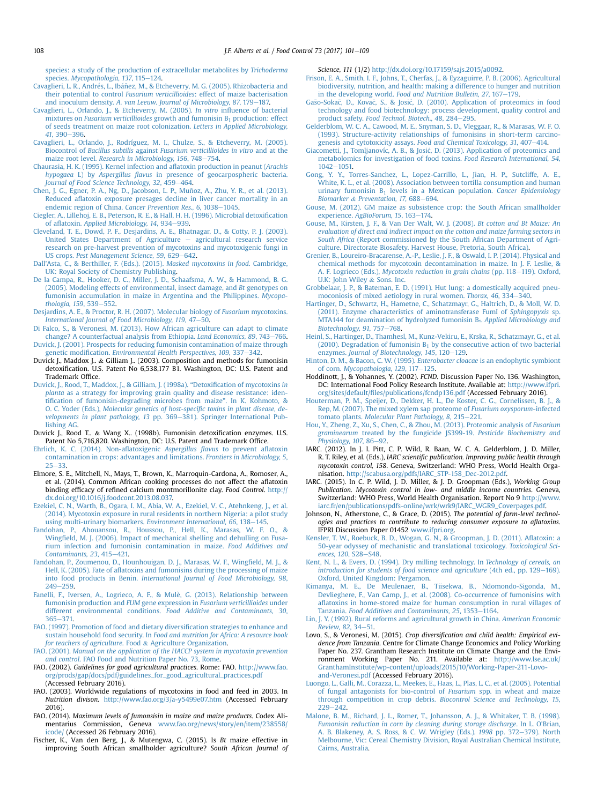<span id="page-7-0"></span>[species: a study of the production of extracellular metabolites by](http://refhub.elsevier.com/S0956-7135(16)30263-8/sref20) Trichoderma species. [Mycopathologia, 137](http://refhub.elsevier.com/S0956-7135(16)30263-8/sref20), 115-[124.](http://refhub.elsevier.com/S0956-7135(16)30263-8/sref20)

- Cavaglieri, L. R., Andrés, L., Ibáñ[ez, M., & Etcheverry, M. G. \(2005\). Rhizobacteria and](http://refhub.elsevier.com/S0956-7135(16)30263-8/sref21) their potential to control Fusarium verticillioides[: effect of maize bacterisation](http://refhub.elsevier.com/S0956-7135(16)30263-8/sref21) and inoculum density. A. van Leeuw. [Journal of Microbiology, 87](http://refhub.elsevier.com/S0956-7135(16)30263-8/sref21), 179–[187.](http://refhub.elsevier.com/S0956-7135(16)30263-8/sref21)
- [Cavaglieri, L., Orlando, J., & Etcheverry, M. \(2005\).](http://refhub.elsevier.com/S0956-7135(16)30263-8/sref22) In vitro influence of bacterial mixtures on *Fusarium verticillioides* growth and fumonisin  $B_1$  [production: effect](http://refhub.elsevier.com/S0956-7135(16)30263-8/sref22) [of seeds treatment on maize root colonization.](http://refhub.elsevier.com/S0956-7135(16)30263-8/sref22) Letters in Applied Microbiology, 41[, 390](http://refhub.elsevier.com/S0956-7135(16)30263-8/sref22)-396
- [Cavaglieri, L., Orlando, J., Rodríguez, M. I., Chulze, S., & Etcheverry, M. \(2005\).](http://refhub.elsevier.com/S0956-7135(16)30263-8/sref23) Biocontrol of Bacillus subtilis against [Fusarium verticillioides in vitro](http://refhub.elsevier.com/S0956-7135(16)30263-8/sref23) and at the maize root level. [Research in Microbiology, 156](http://refhub.elsevier.com/S0956-7135(16)30263-8/sref23), 748–[754.](http://refhub.elsevier.com/S0956-7135(16)30263-8/sref23)
- [Chaurasia, H. K. \(1995\). Kernel infection and a](http://refhub.elsevier.com/S0956-7135(16)30263-8/sref24)flatoxin production in peanut (Arachis hypogaea L) by Aspergillus flavus [in presence of geocarpospheric bacteria.](http://refhub.elsevier.com/S0956-7135(16)30263-8/sref24) [Journal of Food Science Technology, 32](http://refhub.elsevier.com/S0956-7135(16)30263-8/sref24), 459-[464.](http://refhub.elsevier.com/S0956-7135(16)30263-8/sref24)
- [Chen, J. G., Egner, P. A., Ng, D., Jacobson, L. P., Munoz, A., Zhu, Y. R., et al. \(2013\).](http://refhub.elsevier.com/S0956-7135(16)30263-8/sref25) ~ Reduced afl[atoxin exposure presages decline in liver cancer mortality in an](http://refhub.elsevier.com/S0956-7135(16)30263-8/sref25) [endemic region of China.](http://refhub.elsevier.com/S0956-7135(16)30263-8/sref25) Cancer Prevention Res., 6, 1038-[1045](http://refhub.elsevier.com/S0956-7135(16)30263-8/sref25).
- [Ciegler, A., Lillehoj, E. B., Peterson, R. E., & Hall, H. H. \(1996\). Microbial detoxi](http://refhub.elsevier.com/S0956-7135(16)30263-8/sref26)fication of aflatoxin. [Applied Microbiology, 14](http://refhub.elsevier.com/S0956-7135(16)30263-8/sref26), 934–[939](http://refhub.elsevier.com/S0956-7135(16)30263-8/sref26).
- [Cleveland, T. E., Dowd, P. F., Desjardins, A. E., Bhatnagar, D., & Cotty, P. J. \(2003\).](http://refhub.elsevier.com/S0956-7135(16)30263-8/sref27) [United States Department of Agriculture](http://refhub.elsevier.com/S0956-7135(16)30263-8/sref27) - [agricultural research service](http://refhub.elsevier.com/S0956-7135(16)30263-8/sref27) [research on pre-harvest prevention of mycotoxins and mycotoxigenic fungi in](http://refhub.elsevier.com/S0956-7135(16)30263-8/sref27) US crops. [Pest Management Science, 59](http://refhub.elsevier.com/S0956-7135(16)30263-8/sref27), 629-[642](http://refhub.elsevier.com/S0956-7135(16)30263-8/sref27).
- Dall'[Asta, C., & Berthiller, F. \(Eds.\). \(2015\).](http://refhub.elsevier.com/S0956-7135(16)30263-8/sref28) Masked mycotoxins in food. Cambridge, [UK: Royal Society of Chemistry Publishing.](http://refhub.elsevier.com/S0956-7135(16)30263-8/sref28)
- [De la Campa, R., Hooker, D. C., Miller, J. D., Schaafsma, A. W., & Hammond, B. G.](http://refhub.elsevier.com/S0956-7135(16)30263-8/sref29) [\(2005\). Modeling effects of environmental, insect damage, and](http://refhub.elsevier.com/S0956-7135(16)30263-8/sref29) Bt genotypes on [fumonisin accumulation in maize in Argentina and the Philippines.](http://refhub.elsevier.com/S0956-7135(16)30263-8/sref29) Mycopa[thologia, 159](http://refhub.elsevier.com/S0956-7135(16)30263-8/sref29), 539-[552.](http://refhub.elsevier.com/S0956-7135(16)30263-8/sref29)
- [Desjardins, A. E., & Proctor, R. H. \(2007\). Molecular biology of](http://refhub.elsevier.com/S0956-7135(16)30263-8/sref30) Fusarium mycotoxins. [International Journal of Food Microbiology, 119](http://refhub.elsevier.com/S0956-7135(16)30263-8/sref30), 47-[50](http://refhub.elsevier.com/S0956-7135(16)30263-8/sref30).
- [Di Falco, S., & Veronesi, M. \(2013\). How African agriculture can adapt to climate](http://refhub.elsevier.com/S0956-7135(16)30263-8/sref31) [change? A counterfactual analysis from Ethiopia.](http://refhub.elsevier.com/S0956-7135(16)30263-8/sref31) Land Economics, 89, 743-[766](http://refhub.elsevier.com/S0956-7135(16)30263-8/sref31).
- [Duvick, J. \(2001\). Prospects for reducing fumonisin contamination of maize through](http://refhub.elsevier.com/S0956-7135(16)30263-8/sref32) genetic modification. [Environmental Health Perspectives, 109](http://refhub.elsevier.com/S0956-7135(16)30263-8/sref32), 337-[342.](http://refhub.elsevier.com/S0956-7135(16)30263-8/sref32)
- Duvick J., Maddox J.. & Gilliam J.. (2003). Composition and methods for fumonisin detoxification. U.S. Patent No 6,538,177 B1. Washington, DC: U.S. Patent and Trademark Office.
- [Duvick, J., Rood, T., Maddox, J., & Gilliam, J. \(1998a\).](http://refhub.elsevier.com/S0956-7135(16)30263-8/sref34) "Detoxification of mycotoxins in planta [as a strategy for improving grain quality and disease resistance: iden](http://refhub.elsevier.com/S0956-7135(16)30263-8/sref34)tifi[cation of fumonisin-degrading microbes from maize](http://refhub.elsevier.com/S0956-7135(16)30263-8/sref34)". In K. Kohmoto, & O. C. Yoder (Eds.), [Molecular genetics of host-speci](http://refhub.elsevier.com/S0956-7135(16)30263-8/sref34)fic toxins in plant disease, de[velopments in plant pathology, 13](http://refhub.elsevier.com/S0956-7135(16)30263-8/sref34) pp. 369-[381\). Springer International Pub](http://refhub.elsevier.com/S0956-7135(16)30263-8/sref34)[lishing AG](http://refhub.elsevier.com/S0956-7135(16)30263-8/sref34).
- Duvick J., Rood T.. & Wang X.. (1998b). Fumonisin detoxification enzymes. U.S. Patent No 5,716,820. Washington, DC: U.S. Patent and Trademark Office.
- [Ehrlich, K. C. \(2014\). Non-a](http://refhub.elsevier.com/S0956-7135(16)30263-8/sref36)flatoxigenic Aspergillus flavus to prevent aflatoxin [contamination in crops: advantages and limitations.](http://refhub.elsevier.com/S0956-7135(16)30263-8/sref36) Frontiers in Microbiology, 5,  $25 - 33$  $25 - 33$
- Elmore, S. E., Mitchell, N., Mays, T., Brown, K., Marroquin-Cardona, A., Romoser, A., et al. (2014). Common African cooking processes do not affect the aflatoxin binding efficacy of refined calcium montmorillonite clay. Food Control. [http://](http://dx.doi.org/10.1016/j.foodcont.2013.08.037) [dx.doi.org/10.1016/j.foodcont.2013.08.037.](http://dx.doi.org/10.1016/j.foodcont.2013.08.037)
- [Ezekiel, C. N., Warth, B., Ogara, I. M., Abia, W. A., Ezekiel, V. C., Atehnkeng, J., et al.](http://refhub.elsevier.com/S0956-7135(16)30263-8/sref38) [\(2014\). Mycotoxin exposure in rural residents in northern Nigeria: a pilot study](http://refhub.elsevier.com/S0956-7135(16)30263-8/sref38) [using multi-urinary biomarkers.](http://refhub.elsevier.com/S0956-7135(16)30263-8/sref38) Environment International, 66, 138-[145](http://refhub.elsevier.com/S0956-7135(16)30263-8/sref38).
- [Fandohan, P., Ahouansou, R., Houssou, P., Hell, K., Marasas, W. F. O., &](http://refhub.elsevier.com/S0956-7135(16)30263-8/sref39) Wingfi[eld, M. J. \(2006\). Impact of mechanical shelling and dehulling on Fusa](http://refhub.elsevier.com/S0956-7135(16)30263-8/sref39)[rium infection and fumonisin contamination in maize.](http://refhub.elsevier.com/S0956-7135(16)30263-8/sref39) Food Additives and [Contaminants, 23](http://refhub.elsevier.com/S0956-7135(16)30263-8/sref39), 415-[421.](http://refhub.elsevier.com/S0956-7135(16)30263-8/sref39)
- [Fandohan, P., Zoumenou, D., Hounhouigan, D. J., Marasas, W. F., Wing](http://refhub.elsevier.com/S0956-7135(16)30263-8/sref40)field, M. J., & Hell, K. (2005). Fate of afl[atoxins and fumonisins during the processing of maize](http://refhub.elsevier.com/S0956-7135(16)30263-8/sref40) into food products in Benin. [International Journal of Food Microbiology, 98](http://refhub.elsevier.com/S0956-7135(16)30263-8/sref40),  $249 - 259.$  $249 - 259.$  $249 - 259.$
- [Fanelli, F., Iversen, A., Logrieco, A. F., & Mul](http://refhub.elsevier.com/S0956-7135(16)30263-8/sref41)e[, G. \(2013\). Relationship between](http://refhub.elsevier.com/S0956-7135(16)30263-8/sref41) [fumonisin production and](http://refhub.elsevier.com/S0956-7135(16)30263-8/sref41) FUM gene expression in Fusarium verticillioides under different environmental conditions. [Food Additive and Contaminants, 30](http://refhub.elsevier.com/S0956-7135(16)30263-8/sref41), [365](http://refhub.elsevier.com/S0956-7135(16)30263-8/sref41)e[371.](http://refhub.elsevier.com/S0956-7135(16)30263-8/sref41)
- [FAO. \(1997\). Promotion of food and dietary diversi](http://refhub.elsevier.com/S0956-7135(16)30263-8/sref42)fication strategies to enhance and sustain household food security. In [Food and nutrition for Africa: A resource book](http://refhub.elsevier.com/S0956-7135(16)30263-8/sref42) [for teachers of agriculture](http://refhub.elsevier.com/S0956-7135(16)30263-8/sref42). Food & [Agriculture Organization.](http://refhub.elsevier.com/S0956-7135(16)30263-8/sref42)
- FAO. (2001). [Manual on the application of the HACCP system in mycotoxin prevention](http://refhub.elsevier.com/S0956-7135(16)30263-8/sref43) and control[. FAO Food and Nutrition Paper No. 73, Rome.](http://refhub.elsevier.com/S0956-7135(16)30263-8/sref43)
- FAO. (2002). Guidelines for good agricultural practices. Rome: FAO. [http://www.fao.](http://www.fao.org/prods/gap/docs/pdf/guidelines_for_good_agricultural_practices.pdf) [org/prods/gap/docs/pdf/guidelines\\_for\\_good\\_agricultural\\_practices.pdf](http://www.fao.org/prods/gap/docs/pdf/guidelines_for_good_agricultural_practices.pdf) (Accessed February 2016).
- FAO. (2003). Worldwide regulations of mycotoxins in food and feed in 2003. In Nutrition divison. <http://www.fao.org/3/a-y5499e07.htm> (Accessed February 2016).
- FAO. (2014). Maximum levels of fumonsisin in maize and maize products. Codex Alimentarius Commission, Geneva [www.fao.org/news/story/en/item/238558/](http://www.fao.org/news/story/en/item/238558/icode/) [icode/](http://www.fao.org/news/story/en/item/238558/icode/) (Accessed 26 February 2016).
- Fischer, K., Van den Berg, J., & Mutengwa, C. (2015). Is Bt maize effective in improving South African smallholder agriculture? South African Journal of

Science, 111 (1/2) <http://dx.doi.org/10.17159/sajs.2015/a0092>.

- [Frison, E. A., Smith, I. F., Johns, T., Cherfas, J., & Eyzaguirre, P. B. \(2006\). Agricultural](http://refhub.elsevier.com/S0956-7135(16)30263-8/sref48) [biodiversity, nutrition, and health: making a difference to hunger and nutrition](http://refhub.elsevier.com/S0956-7135(16)30263-8/sref48) in the developing world. Food and Nutrition Bulletin,  $27, 167-179$ .
- [Ga](http://refhub.elsevier.com/S0956-7135(16)30263-8/sref49)s[o-Soka](http://refhub.elsevier.com/S0956-7135(16)30263-8/sref49)[c, D., Kova](http://refhub.elsevier.com/S0956-7135(16)30263-8/sref49)[c, S., & Josi](http://refhub.elsevier.com/S0956-7135(16)30263-8/sref49)c[, D. \(2010\). Application of proteomics in food](http://refhub.elsevier.com/S0956-7135(16)30263-8/sref49) [technology and food biotechnology: process development, quality control and](http://refhub.elsevier.com/S0956-7135(16)30263-8/sref49) product safety. [Food Technol. Biotech., 48](http://refhub.elsevier.com/S0956-7135(16)30263-8/sref49), 284-[295.](http://refhub.elsevier.com/S0956-7135(16)30263-8/sref49)
- [Gelderblom, W. C. A., Cawood, M. E., Snyman, S. D., Vleggaar, R., & Marasas, W. F. O.](http://refhub.elsevier.com/S0956-7135(16)30263-8/sref50) [\(1993\). Structure-activity relationships of fumonisins in short-term carcino-](http://refhub.elsevier.com/S0956-7135(16)30263-8/sref50)genesis and cytotoxicity assays. [Food and Chemical Toxicology, 31](http://refhub.elsevier.com/S0956-7135(16)30263-8/sref50), 407–[414.](http://refhub.elsevier.com/S0956-7135(16)30263-8/sref50)
- [Giacometti, J., Tomljanovíc, A. B., & Josi](http://refhub.elsevier.com/S0956-7135(16)30263-8/sref51)c[, D. \(2013\). Application of proteomics and](http://refhub.elsevier.com/S0956-7135(16)30263-8/sref51) [metabolomics for investigation of food toxins.](http://refhub.elsevier.com/S0956-7135(16)30263-8/sref51) Food Research International, 54,  $1042 - 1051$  $1042 - 1051$ .
- [Gong, Y. Y., Torres-Sanchez, L., Lopez-Carrillo, L., Jian, H. P., Sutcliffe, A. E.,](http://refhub.elsevier.com/S0956-7135(16)30263-8/sref52) [White, K. L., et al. \(2008\). Association between tortilla consumption and human](http://refhub.elsevier.com/S0956-7135(16)30263-8/sref52) urinary fumonisin  $B_1$  [levels in a Mexican population.](http://refhub.elsevier.com/S0956-7135(16)30263-8/sref52) Cancer Epidemiology [Biomarker](http://refhub.elsevier.com/S0956-7135(16)30263-8/sref52) & [Preventation, 17](http://refhub.elsevier.com/S0956-7135(16)30263-8/sref52),  $688 - 694$  $688 - 694$ .
- [Gouse, M. \(2012\). GM maize as subsistence crop: the South African smallholder](http://refhub.elsevier.com/S0956-7135(16)30263-8/sref53) experience. [AgBioForum, 15](http://refhub.elsevier.com/S0956-7135(16)30263-8/sref53), 163-[174](http://refhub.elsevier.com/S0956-7135(16)30263-8/sref53).
- [Gouse, M., Kirsten, J. F., & Van Der Walt, W. J. \(2008\).](http://refhub.elsevier.com/S0956-7135(16)30263-8/sref54) Bt cotton and Bt Maize: An [evaluation of direct and indirect impact on the cotton and maize farming sectors in](http://refhub.elsevier.com/S0956-7135(16)30263-8/sref54) South Africa [\(Report commissioned by the South African Department of Agri](http://refhub.elsevier.com/S0956-7135(16)30263-8/sref54)[culture. Directorate Biosafety. Harvest House, Pretoria, South Africa\)](http://refhub.elsevier.com/S0956-7135(16)30263-8/sref54).
- [Grenier, B., Loureiro-Bracarense, A.-P., Leslie, J. F., & Oswald, I. P. \(2014\). Physical and](http://refhub.elsevier.com/S0956-7135(16)30263-8/sref55) [chemical methods for mycotoxin decontamination in maize. In J. F. Leslie, &](http://refhub.elsevier.com/S0956-7135(16)30263-8/sref55) A. F. Logrieco (Eds.), [Mycotoxin reduction in grain chains](http://refhub.elsevier.com/S0956-7135(16)30263-8/sref55) (pp. 118-[119\). Oxford,](http://refhub.elsevier.com/S0956-7135(16)30263-8/sref55) [U.K: John Wiley](http://refhub.elsevier.com/S0956-7135(16)30263-8/sref55) & [Sons. Inc.](http://refhub.elsevier.com/S0956-7135(16)30263-8/sref55)
- [Grobbelaar, J. P., & Bateman, E. D. \(1991\). Hut lung: a domestically acquired pneu](http://refhub.elsevier.com/S0956-7135(16)30263-8/sref56)[moconiosis of mixed aetiology in rural women.](http://refhub.elsevier.com/S0956-7135(16)30263-8/sref56) Thorax, 46, 334-[340.](http://refhub.elsevier.com/S0956-7135(16)30263-8/sref56)
- [Hartinger, D., Schwartz, H., Hametne, C., Schatzmayr, G., Haltrich, D., & Moll, W. D.](http://refhub.elsevier.com/S0956-7135(16)30263-8/sref57) [\(2011\). Enzyme characteristics of aminotransferase FumI of](http://refhub.elsevier.com/S0956-7135(16)30263-8/sref57) Sphingopyxis sp. [MTA144 for deamination of hydrolyzed fumonisin B](http://refhub.elsevier.com/S0956-7135(16)30263-8/sref57)1. Applied Microbiology and [Biotechnology, 91](http://refhub.elsevier.com/S0956-7135(16)30263-8/sref57), 757-[768](http://refhub.elsevier.com/S0956-7135(16)30263-8/sref57).
- [Heinl, S., Hartinger, D., Thamhesl, M., Kunz-Vekiru, E., Krska, R., Schatzmayr, G., et al.](http://refhub.elsevier.com/S0956-7135(16)30263-8/sref58) (2010). Degradation of fumonisin  $B_1$  [by the consecutive action of two bacterial](http://refhub.elsevier.com/S0956-7135(16)30263-8/sref58) enzymes. [Journal of Biotechnology, 145](http://refhub.elsevier.com/S0956-7135(16)30263-8/sref58), 120-[129](http://refhub.elsevier.com/S0956-7135(16)30263-8/sref58).
- [Hinton, D. M., & Bacon, C. W. \(1995\).](http://refhub.elsevier.com/S0956-7135(16)30263-8/sref59) Enterobacter cloacae is an endophytic symbiont of corn. [Mycopathologia, 129](http://refhub.elsevier.com/S0956-7135(16)30263-8/sref59), 117-[125.](http://refhub.elsevier.com/S0956-7135(16)30263-8/sref59)
- Hoddinott, J., & Yohannes, Y. (2002). FCND. Discussion Paper No. 136. Washington, DC: International Food Policy Research Institute. Available at: [http://www.ifpri.](http://www.ifpri.org/sites/default/files/publications/fcndp136.pdf) org/sites/default/fi[les/publications/fcndp136.pdf](http://www.ifpri.org/sites/default/files/publications/fcndp136.pdf) (Accessed February 2016).
- [Houterman, P. M., Speijer, D., Dekker, H. L., De Koster, C. G., Cornelissen, B. J., &](http://refhub.elsevier.com/S0956-7135(16)30263-8/sref61) [Rep, M. \(2007\). The mixed xylem sap proteome of](http://refhub.elsevier.com/S0956-7135(16)30263-8/sref61) Fusarium oxysporum-infected tomato plants. [Molecular Plant Pathology, 8](http://refhub.elsevier.com/S0956-7135(16)30263-8/sref61), 215-[221.](http://refhub.elsevier.com/S0956-7135(16)30263-8/sref61)
- [Hou, Y., Zheng, Z., Xu, S., Chen, C., & Zhou, M. \(2013\). Proteomic analysis of](http://refhub.elsevier.com/S0956-7135(16)30263-8/sref62) Fusarium graminearum [treated by the fungicide JS399-19.](http://refhub.elsevier.com/S0956-7135(16)30263-8/sref62) Pesticide Biochemistry and [Physiology, 107](http://refhub.elsevier.com/S0956-7135(16)30263-8/sref62), 86-[92](http://refhub.elsevier.com/S0956-7135(16)30263-8/sref62).
- IARC. (2012). In J. I. Pitt, C. P. Wild, R. Baan, W. C. A. Gelderblom, J. D. Miller, R. T. Riley, et al. (Eds.), IARC scientific publication. Improving public health through mycotoxin control, 158. Geneva, Switzerland: WHO Press, World Health Organisation. [http://scabusa.org/pdfs/IARC\\_STP-158\\_Dec-2012.pdf](http://scabusa.org/pdfs/IARC_STP-158_Dec-2012.pdf).
- IARC. (2015). In C. P. Wild, J. D. Miller, & J. D. Groopman (Eds.), Working Group Publication. Mycotoxin control in low- and middle income countries. Geneva, Switzerland: WHO Press, World Health Organisation. Report No 9 [http://www.](http://www.iarc.fr/en/publications/pdfs-online/wrk/wrk9/IARC_WGR9_Coverpages.pdf) [iarc.fr/en/publications/pdfs-online/wrk/wrk9/IARC\\_WGR9\\_Coverpages.pdf.](http://www.iarc.fr/en/publications/pdfs-online/wrk/wrk9/IARC_WGR9_Coverpages.pdf)
- Johnson, N., Atherstone, C., & Grace, D. (2015). The potential of farm-level technologies and practices to contribute to reducing consumer exposure to aflatoxins. IFPRI Discussion Paper 01452 [www.ifpri.org.](http://www.ifpri.org)
- [Kensler, T. W., Roebuck, B. D., Wogan, G. N., & Groopman, J. D. \(2011\). A](http://refhub.elsevier.com/S0956-7135(16)30263-8/sref65)flatoxin: a [50-year odyssey of mechanistic and translational toxicology.](http://refhub.elsevier.com/S0956-7135(16)30263-8/sref65) Toxicological Sci[ences, 120](http://refhub.elsevier.com/S0956-7135(16)30263-8/sref65), S28-[S48](http://refhub.elsevier.com/S0956-7135(16)30263-8/sref65).
- [Kent, N. L., & Evers, D. \(1994\). Dry milling technology. In](http://refhub.elsevier.com/S0956-7135(16)30263-8/sref66) Technology of cereals, an [introduction for students of food science and agriculture](http://refhub.elsevier.com/S0956-7135(16)30263-8/sref66) (4th ed., pp. 129-[169\).](http://refhub.elsevier.com/S0956-7135(16)30263-8/sref66) [Oxford, United Kingdom: Pergamon](http://refhub.elsevier.com/S0956-7135(16)30263-8/sref66).
- [Kimanya, M. E., De Meulenaer, B., Tiisekwa, B., Ndomondo-Sigonda, M.,](http://refhub.elsevier.com/S0956-7135(16)30263-8/sref67) [Devlieghere, F., Van Camp, J., et al. \(2008\). Co-occurrence of fumonisins with](http://refhub.elsevier.com/S0956-7135(16)30263-8/sref67) afl[atoxins in home-stored maize for human consumption in rural villages of](http://refhub.elsevier.com/S0956-7135(16)30263-8/sref67) Tanzania. [Food Additives and Contaminants, 25](http://refhub.elsevier.com/S0956-7135(16)30263-8/sref67), 1353-[1164](http://refhub.elsevier.com/S0956-7135(16)30263-8/sref67).
- [Lin, J. Y. \(1992\). Rural reforms and agricultural growth in China.](http://refhub.elsevier.com/S0956-7135(16)30263-8/sref68) American Economic [Review, 82](http://refhub.elsevier.com/S0956-7135(16)30263-8/sref68), 34-[51.](http://refhub.elsevier.com/S0956-7135(16)30263-8/sref68)
- Lovo, S., & Veronesi, M. (2015). Crop diversification and child health: Empirical evidence from Tanzania. Centre for Climate Change Economics and Policy Working Paper No. 237. Grantham Research Institute on Climate Change and the Environment Working Paper No. 211. Available at: [http://www.lse.ac.uk/](http://www.lse.ac.uk/GranthamInstitute/wp-content/uploads/2015/10/Working-Paper-211-Lovo-and-Veronesi.pdf) [GranthamInstitute/wp-content/uploads/2015/10/Working-Paper-211-Lovo](http://www.lse.ac.uk/GranthamInstitute/wp-content/uploads/2015/10/Working-Paper-211-Lovo-and-Veronesi.pdf)[and-Veronesi.pdf](http://www.lse.ac.uk/GranthamInstitute/wp-content/uploads/2015/10/Working-Paper-211-Lovo-and-Veronesi.pdf) (Accessed February 2016).
- [Luongo, L., Galli, M., Corazza, L., Meekes, E., Haas, L., Plas, L. C., et al. \(2005\). Potential](http://refhub.elsevier.com/S0956-7135(16)30263-8/sref70) [of fungal antagonists for bio-control of](http://refhub.elsevier.com/S0956-7135(16)30263-8/sref70) Fusarium spp. in wheat and maize through competition in crop debris. [Biocontrol Science and Technology, 15](http://refhub.elsevier.com/S0956-7135(16)30263-8/sref70),  $229 - 242$  $229 - 242$  $229 - 242$
- [Malone, B. M., Richard, J. L., Romer, T., Johansson, A. J., & Whitaker, T. B. \(1998\).](http://refhub.elsevier.com/S0956-7135(16)30263-8/sref71) [Fumonisin reduction in corn by cleaning during storage discharge](http://refhub.elsevier.com/S0956-7135(16)30263-8/sref71). In L. O'Brian, [A. B. Blakeney, A. S. Ross, & C. W. Wrigley \(Eds.\)](http://refhub.elsevier.com/S0956-7135(16)30263-8/sref71).  $1998$  pp.  $372-379$ ). North [Melbourne, Vic: Cereal Chemistry Division, Royal Australian Chemical Institute,](http://refhub.elsevier.com/S0956-7135(16)30263-8/sref71) [Cairns, Australia](http://refhub.elsevier.com/S0956-7135(16)30263-8/sref71).